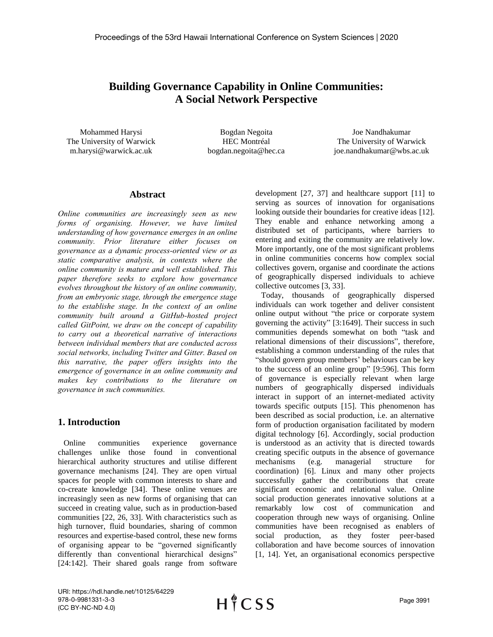# **Building Governance Capability in Online Communities: A Social Network Perspective**

Mohammed Harysi The University of Warwick m.harysi@warwick.ac.uk

Bogdan Negoita HEC Montréal bogdan.negoita@hec.ca

Joe Nandhakumar The University of Warwick joe.nandhakumar@wbs.ac.uk

#### **Abstract**

*Online communities are increasingly seen as new forms of organising. However, we have limited understanding of how governance emerges in an online community. Prior literature either focuses on governance as a dynamic process-oriented view or as static comparative analysis, in contexts where the online community is mature and well established. This paper therefore seeks to explore how governance evolves throughout the history of an online community, from an embryonic stage, through the emergence stage to the establishe stage. In the context of an online community built around a GitHub-hosted project called GitPoint, we draw on the concept of capability to carry out a theoretical narrative of interactions between individual members that are conducted across social networks, including Twitter and Gitter. Based on this narrative, the paper offers insights into the emergence of governance in an online community and makes key contributions to the literature on governance in such communities.*

## **1. Introduction**

Online communities experience governance challenges unlike those found in conventional hierarchical authority structures and utilise different governance mechanisms [24]. They are open virtual spaces for people with common interests to share and co-create knowledge [34]. These online venues are increasingly seen as new forms of organising that can succeed in creating value, such as in production-based communities [22, 26, 33]. With characteristics such as high turnover, fluid boundaries, sharing of common resources and expertise-based control, these new forms of organising appear to be "governed significantly differently than conventional hierarchical designs" [24:142]. Their shared goals range from software development [27, 37] and healthcare support [11] to serving as sources of innovation for organisations looking outside their boundaries for creative ideas [12]. They enable and enhance networking among a distributed set of participants, where barriers to entering and exiting the community are relatively low. More importantly, one of the most significant problems in online communities concerns how complex social collectives govern, organise and coordinate the actions of geographically dispersed individuals to achieve collective outcomes [3, 33].

Today, thousands of geographically dispersed individuals can work together and deliver consistent online output without "the price or corporate system governing the activity" [3:1649]. Their success in such communities depends somewhat on both "task and relational dimensions of their discussions", therefore, establishing a common understanding of the rules that "should govern group members' behaviours can be key to the success of an online group" [9:596]. This form of governance is especially relevant when large numbers of geographically dispersed individuals interact in support of an internet-mediated activity towards specific outputs [15]. This phenomenon has been described as social production, i.e. an alternative form of production organisation facilitated by modern digital technology [6]. Accordingly, social production is understood as an activity that is directed towards creating specific outputs in the absence of governance mechanisms (e.g. managerial structure for coordination) [6]. Linux and many other projects successfully gather the contributions that create significant economic and relational value. Online social production generates innovative solutions at a remarkably low cost of communication and cooperation through new ways of organising. Online communities have been recognised as enablers of social production, as they foster peer-based collaboration and have become sources of innovation [1, 14]. Yet, an organisational economics perspective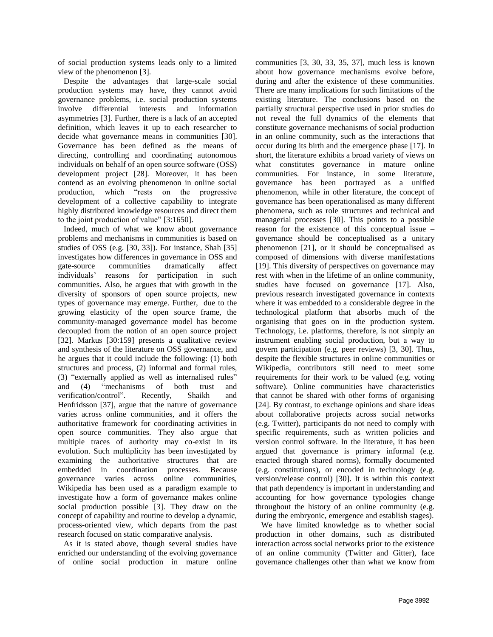of social production systems leads only to a limited view of the phenomenon [3].

Despite the advantages that large-scale social production systems may have, they cannot avoid governance problems, i.e. social production systems involve differential interests and information asymmetries [3]. Further, there is a lack of an accepted definition, which leaves it up to each researcher to decide what governance means in communities [30]. Governance has been defined as the means of directing, controlling and coordinating autonomous individuals on behalf of an open source software (OSS) development project [28]. Moreover, it has been contend as an evolving phenomenon in online social production, which "rests on the progressive development of a collective capability to integrate highly distributed knowledge resources and direct them to the joint production of value" [3:1650].

Indeed, much of what we know about governance problems and mechanisms in communities is based on studies of OSS (e.g. [30, 33]). For instance, Shah [35] investigates how differences in governance in OSS and gate-source communities dramatically affect individuals' reasons for participation in such communities. Also, he argues that with growth in the diversity of sponsors of open source projects, new types of governance may emerge. Further, due to the growing elasticity of the open source frame, the community-managed governance model has become decoupled from the notion of an open source project [32]. Markus [30:159] presents a qualitative review and synthesis of the literature on OSS governance, and he argues that it could include the following: (1) both structures and process, (2) informal and formal rules, (3) "externally applied as well as internalised rules" and (4) "mechanisms of both trust and verification/control". Recently, Shaikh and Henfridsson [37], argue that the nature of governance varies across online communities, and it offers the authoritative framework for coordinating activities in open source communities. They also argue that multiple traces of authority may co-exist in its evolution. Such multiplicity has been investigated by examining the authoritative structures that are embedded in coordination processes. Because governance varies across online communities, Wikipedia has been used as a paradigm example to investigate how a form of governance makes online social production possible [3]. They draw on the concept of capability and routine to develop a dynamic, process-oriented view, which departs from the past research focused on static comparative analysis.

As it is stated above, though several studies have enriched our understanding of the evolving governance of online social production in mature online

communities [3, 30, 33, 35, 37], much less is known about how governance mechanisms evolve before, during and after the existence of these communities. There are many implications for such limitations of the existing literature. The conclusions based on the partially structural perspective used in prior studies do not reveal the full dynamics of the elements that constitute governance mechanisms of social production in an online community, such as the interactions that occur during its birth and the emergence phase [17]. In short, the literature exhibits a broad variety of views on what constitutes governance in mature online communities. For instance, in some literature, governance has been portrayed as a unified phenomenon, while in other literature, the concept of governance has been operationalised as many different phenomena, such as role structures and technical and managerial processes [30]. This points to a possible reason for the existence of this conceptual issue – governance should be conceptualised as a unitary phenomenon [21], or it should be conceptualised as composed of dimensions with diverse manifestations [19]. This diversity of perspectives on governance may rest with when in the lifetime of an online community, studies have focused on governance [17]. Also, previous research investigated governance in contexts where it was embedded to a considerable degree in the technological platform that absorbs much of the organising that goes on in the production system. Technology, i.e. platforms, therefore, is not simply an instrument enabling social production, but a way to govern participation (e.g. peer reviews) [3, 30]. Thus, despite the flexible structures in online communities or Wikipedia, contributors still need to meet some requirements for their work to be valued (e.g. voting software). Online communities have characteristics that cannot be shared with other forms of organising [24]. By contrast, to exchange opinions and share ideas about collaborative projects across social networks (e.g. Twitter), participants do not need to comply with specific requirements, such as written policies and version control software. In the literature, it has been argued that governance is primary informal (e.g. enacted through shared norms), formally documented (e.g. constitutions), or encoded in technology (e.g. version/release control) [30]. It is within this context that path dependency is important in understanding and accounting for how governance typologies change throughout the history of an online community (e.g. during the embryonic, emergence and establish stages).

We have limited knowledge as to whether social production in other domains, such as distributed interaction across social networks prior to the existence of an online community (Twitter and Gitter), face governance challenges other than what we know from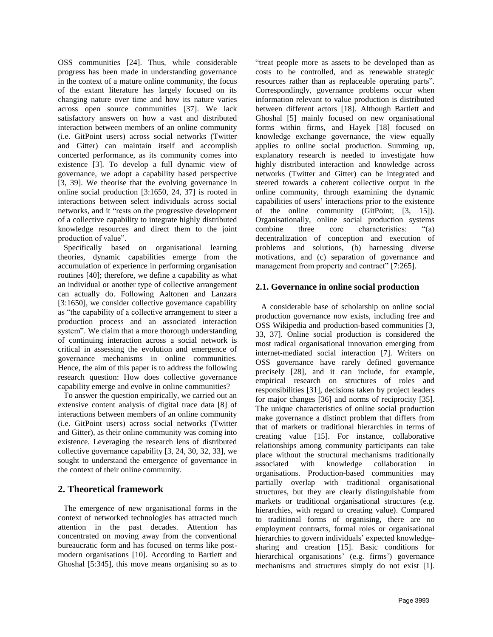OSS communities [24]. Thus, while considerable progress has been made in understanding governance in the context of a mature online community, the focus of the extant literature has largely focused on its changing nature over time and how its nature varies across open source communities [37]. We lack satisfactory answers on how a vast and distributed interaction between members of an online community (i.e. GitPoint users) across social networks (Twitter and Gitter) can maintain itself and accomplish concerted performance, as its community comes into existence [3]. To develop a full dynamic view of governance, we adopt a capability based perspective [3, 39]. We theorise that the evolving governance in online social production [3:1650, 24, 37] is rooted in interactions between select individuals across social networks, and it "rests on the progressive development of a collective capability to integrate highly distributed knowledge resources and direct them to the joint production of value".

Specifically based on organisational learning theories, dynamic capabilities emerge from the accumulation of experience in performing organisation routines [40]; therefore, we define a capability as what an individual or another type of collective arrangement can actually do. Following Aaltonen and Lanzara [3:1650], we consider collective governance capability as "the capability of a collective arrangement to steer a production process and an associated interaction system". We claim that a more thorough understanding of continuing interaction across a social network is critical in assessing the evolution and emergence of governance mechanisms in online communities. Hence, the aim of this paper is to address the following research question: How does collective governance capability emerge and evolve in online communities?

To answer the question empirically, we carried out an extensive content analysis of digital trace data [8] of interactions between members of an online community (i.e. GitPoint users) across social networks (Twitter and Gitter), as their online community was coming into existence. Leveraging the research lens of distributed collective governance capability [3, 24, 30, 32, 33], we sought to understand the emergence of governance in the context of their online community.

## **2. Theoretical framework**

The emergence of new organisational forms in the context of networked technologies has attracted much attention in the past decades. Attention has concentrated on moving away from the conventional bureaucratic form and has focused on terms like postmodern organisations [10]. According to Bartlett and Ghoshal [5:345], this move means organising so as to

"treat people more as assets to be developed than as costs to be controlled, and as renewable strategic resources rather than as replaceable operating parts". Correspondingly, governance problems occur when information relevant to value production is distributed between different actors [18]. Although Bartlett and Ghoshal [5] mainly focused on new organisational forms within firms, and Hayek [18] focused on knowledge exchange governance, the view equally applies to online social production. Summing up, explanatory research is needed to investigate how highly distributed interaction and knowledge across networks (Twitter and Gitter) can be integrated and steered towards a coherent collective output in the online community, through examining the dynamic capabilities of users' interactions prior to the existence of the online community (GitPoint; [3, 15]). Organisationally, online social production systems combine three core characteristics: "(a) decentralization of conception and execution of problems and solutions, (b) harnessing diverse motivations, and (c) separation of governance and management from property and contract" [7:265].

## **2.1. Governance in online social production**

A considerable base of scholarship on online social production governance now exists, including free and OSS Wikipedia and production-based communities [3, 33, 37]. Online social production is considered the most radical organisational innovation emerging from internet-mediated social interaction [7]. Writers on OSS governance have rarely defined governance precisely [28], and it can include, for example, empirical research on structures of roles and responsibilities [31], decisions taken by project leaders for major changes [36] and norms of reciprocity [35]. The unique characteristics of online social production make governance a distinct problem that differs from that of markets or traditional hierarchies in terms of creating value [15]. For instance, collaborative relationships among community participants can take place without the structural mechanisms traditionally associated with knowledge collaboration in organisations. Production-based communities may partially overlap with traditional organisational structures, but they are clearly distinguishable from markets or traditional organisational structures (e.g. hierarchies, with regard to creating value). Compared to traditional forms of organising, there are no employment contracts, formal roles or organisational hierarchies to govern individuals' expected knowledgesharing and creation [15]. Basic conditions for hierarchical organisations' (e.g. firms') governance mechanisms and structures simply do not exist [1].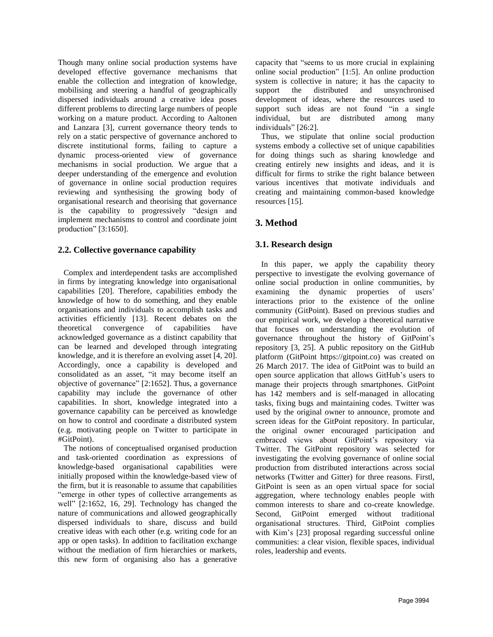Though many online social production systems have developed effective governance mechanisms that enable the collection and integration of knowledge, mobilising and steering a handful of geographically dispersed individuals around a creative idea poses different problems to directing large numbers of people working on a mature product. According to Aaltonen and Lanzara [3], current governance theory tends to rely on a static perspective of governance anchored to discrete institutional forms, failing to capture a dynamic process-oriented view of governance mechanisms in social production. We argue that a deeper understanding of the emergence and evolution of governance in online social production requires reviewing and synthesising the growing body of organisational research and theorising that governance is the capability to progressively "design and implement mechanisms to control and coordinate joint production" [3:1650].

### **2.2. Collective governance capability**

Complex and interdependent tasks are accomplished in firms by integrating knowledge into organisational capabilities [20]. Therefore, capabilities embody the knowledge of how to do something, and they enable organisations and individuals to accomplish tasks and activities efficiently [13]. Recent debates on the theoretical convergence of capabilities have theoretical convergence of capabilities have acknowledged governance as a distinct capability that can be learned and developed through integrating knowledge, and it is therefore an evolving asset [4, 20]. Accordingly, once a capability is developed and consolidated as an asset, "it may become itself an objective of governance" [2:1652]. Thus, a governance capability may include the governance of other capabilities. In short, knowledge integrated into a governance capability can be perceived as knowledge on how to control and coordinate a distributed system (e.g. motivating people on Twitter to participate in #GitPoint).

The notions of conceptualised organised production and task-oriented coordination as expressions of knowledge-based organisational capabilities were initially proposed within the knowledge-based view of the firm, but it is reasonable to assume that capabilities "emerge in other types of collective arrangements as well" [2:1652, 16, 29]. Technology has changed the nature of communications and allowed geographically dispersed individuals to share, discuss and build creative ideas with each other (e.g. writing code for an app or open tasks). In addition to facilitation exchange without the mediation of firm hierarchies or markets, this new form of organising also has a generative

capacity that "seems to us more crucial in explaining online social production" [1:5]. An online production system is collective in nature; it has the capacity to support the distributed and unsynchronised development of ideas, where the resources used to support such ideas are not found "in a single" individual, but are distributed among many individuals" [26:2].

Thus, we stipulate that online social production systems embody a collective set of unique capabilities for doing things such as sharing knowledge and creating entirely new insights and ideas, and it is difficult for firms to strike the right balance between various incentives that motivate individuals and creating and maintaining common-based knowledge resources [15].

## **3. Method**

### **3.1. Research design**

In this paper, we apply the capability theory perspective to investigate the evolving governance of online social production in online communities, by examining the dynamic properties of users' interactions prior to the existence of the online community (GitPoint). Based on previous studies and our empirical work, we develop a theoretical narrative that focuses on understanding the evolution of governance throughout the history of GitPoint's repository [3, 25]. A public repository on the GitHub platform (GitPoint https://gitpoint.co) was created on 26 March 2017. The idea of GitPoint was to build an open source application that allows GitHub's users to manage their projects through smartphones. GitPoint has 142 members and is self-managed in allocating tasks, fixing bugs and maintaining codes. Twitter was used by the original owner to announce, promote and screen ideas for the GitPoint repository. In particular, the original owner encouraged participation and embraced views about GitPoint's repository via Twitter. The GitPoint repository was selected for investigating the evolving governance of online social production from distributed interactions across social networks (Twitter and Gitter) for three reasons. Firstl, GitPoint is seen as an open virtual space for social aggregation, where technology enables people with common interests to share and co-create knowledge. Second, GitPoint emerged without traditional organisational structures. Third, GitPoint complies with Kim's [23] proposal regarding successful online communities: a clear vision, flexible spaces, individual roles, leadership and events.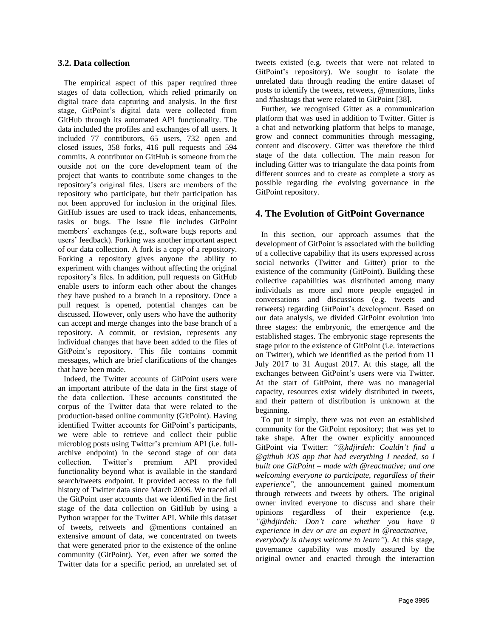#### **3.2. Data collection**

The empirical aspect of this paper required three stages of data collection, which relied primarily on digital trace data capturing and analysis. In the first stage, GitPoint's digital data were collected from GitHub through its automated API functionality. The data included the profiles and exchanges of all users. It included 77 contributors, 65 users, 732 open and closed issues, 358 forks, 416 pull requests and 594 commits. A contributor on GitHub is someone from the outside not on the core development team of the project that wants to contribute some changes to the repository's original files. Users are members of the repository who participate, but their participation has not been approved for inclusion in the original files. GitHub issues are used to track ideas, enhancements, tasks or bugs. The issue file includes GitPoint members' exchanges (e.g., software bugs reports and users' feedback). Forking was another important aspect of our data collection. A fork is a copy of a repository. Forking a repository gives anyone the ability to experiment with changes without affecting the original repository's files. In addition, pull requests on GitHub enable users to inform each other about the changes they have pushed to a branch in a repository. Once a pull request is opened, potential changes can be discussed. However, only users who have the authority can accept and merge changes into the base branch of a repository. A commit, or revision, represents any individual changes that have been added to the files of GitPoint's repository. This file contains commit messages, which are brief clarifications of the changes that have been made.

Indeed, the Twitter accounts of GitPoint users were an important attribute of the data in the first stage of the data collection. These accounts constituted the corpus of the Twitter data that were related to the production-based online community (GitPoint). Having identified Twitter accounts for GitPoint's participants, we were able to retrieve and collect their public microblog posts using Twitter's premium API (i.e. fullarchive endpoint) in the second stage of our data collection. Twitter's premium API provided functionality beyond what is available in the standard search/tweets endpoint. It provided access to the full history of Twitter data since March 2006. We traced all the GitPoint user accounts that we identified in the first stage of the data collection on GitHub by using a Python wrapper for the Twitter API. While this dataset of tweets, retweets and @mentions contained an extensive amount of data, we concentrated on tweets that were generated prior to the existence of the online community (GitPoint). Yet, even after we sorted the Twitter data for a specific period, an unrelated set of

tweets existed (e.g. tweets that were not related to GitPoint's repository). We sought to isolate the unrelated data through reading the entire dataset of posts to identify the tweets, retweets, @mentions, links and #hashtags that were related to GitPoint [38].

Further, we recognised Gitter as a communication platform that was used in addition to Twitter. Gitter is a chat and networking platform that helps to manage, grow and connect communities through messaging, content and discovery. Gitter was therefore the third stage of the data collection. The main reason for including Gitter was to triangulate the data points from different sources and to create as complete a story as possible regarding the evolving governance in the GitPoint repository.

#### **4. The Evolution of GitPoint Governance**

In this section, our approach assumes that the development of GitPoint is associated with the building of a collective capability that its users expressed across social networks (Twitter and Gitter) prior to the existence of the community (GitPoint). Building these collective capabilities was distributed among many individuals as more and more people engaged in conversations and discussions (e.g. tweets and retweets) regarding GitPoint's development. Based on our data analysis, we divided GitPoint evolution into three stages: the embryonic, the emergence and the established stages. The embryonic stage represents the stage prior to the existence of GitPoint (i.e. interactions on Twitter), which we identified as the period from 11 July 2017 to 31 August 2017. At this stage, all the exchanges between GitPoint's users were via Twitter. At the start of GitPoint, there was no managerial capacity, resources exist widely distributed in tweets, and their pattern of distribution is unknown at the beginning.

To put it simply, there was not even an established community for the GitPoint repository; that was yet to take shape. After the owner explicitly announced GitPoint via Twitter: *"@hdjirdeh: Couldn't find a @github iOS app that had everything I needed, so I built one GitPoint – made with @reactnative; and one welcoming everyone to participate, regardless of their experience*", the announcement gained momentum through retweets and tweets by others. The original owner invited everyone to discuss and share their opinions regardless of their experience (e.g. *"@hdjirdeh: Don't care whether you have 0 experience in dev or are an expert in @reactnative, – everybody is always welcome to learn"*). At this stage, governance capability was mostly assured by the original owner and enacted through the interaction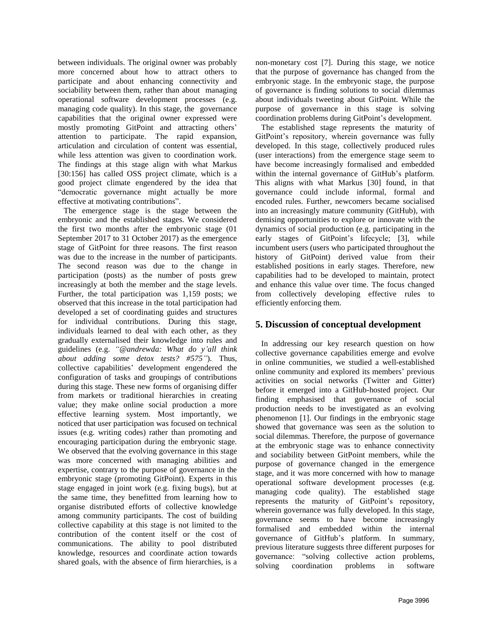between individuals. The original owner was probably more concerned about how to attract others to participate and about enhancing connectivity and sociability between them, rather than about managing operational software development processes (e.g. managing code quality). In this stage, the governance capabilities that the original owner expressed were mostly promoting GitPoint and attracting others' attention to participate. The rapid expansion, articulation and circulation of content was essential, while less attention was given to coordination work. The findings at this stage align with what Markus [30:156] has called OSS project climate, which is a good project climate engendered by the idea that "democratic governance might actually be more effective at motivating contributions".

The emergence stage is the stage between the embryonic and the established stages. We considered the first two months after the embryonic stage (01 September 2017 to 31 October 2017) as the emergence stage of GitPoint for three reasons. The first reason was due to the increase in the number of participants. The second reason was due to the change in participation (posts) as the number of posts grew increasingly at both the member and the stage levels. Further, the total participation was 1,159 posts; we observed that this increase in the total participation had developed a set of coordinating guides and structures for individual contributions. During this stage, individuals learned to deal with each other, as they gradually externalised their knowledge into rules and guidelines (e.g. *"@andrewda: What do y'all think about adding some detox tests? #575"*). Thus, collective capabilities' development engendered the configuration of tasks and groupings of contributions during this stage. These new forms of organising differ from markets or traditional hierarchies in creating value; they make online social production a more effective learning system. Most importantly, we noticed that user participation was focused on technical issues (e.g. writing codes) rather than promoting and encouraging participation during the embryonic stage. We observed that the evolving governance in this stage was more concerned with managing abilities and expertise, contrary to the purpose of governance in the embryonic stage (promoting GitPoint). Experts in this stage engaged in joint work (e.g. fixing bugs), but at the same time, they benefitted from learning how to organise distributed efforts of collective knowledge among community participants. The cost of building collective capability at this stage is not limited to the contribution of the content itself or the cost of communications. The ability to pool distributed knowledge, resources and coordinate action towards shared goals, with the absence of firm hierarchies, is a

non-monetary cost [7]. During this stage, we notice that the purpose of governance has changed from the embryonic stage. In the embryonic stage, the purpose of governance is finding solutions to social dilemmas about individuals tweeting about GitPoint. While the purpose of governance in this stage is solving coordination problems during GitPoint's development.

The established stage represents the maturity of GitPoint's repository, wherein governance was fully developed. In this stage, collectively produced rules (user interactions) from the emergence stage seem to have become increasingly formalised and embedded within the internal governance of GitHub's platform. This aligns with what Markus [30] found, in that governance could include informal, formal and encoded rules. Further, newcomers became socialised into an increasingly mature community (GitHub), with demising opportunities to explore or innovate with the dynamics of social production (e.g. participating in the early stages of GitPoint's lifecycle; [3], while incumbent users (users who participated throughout the history of GitPoint) derived value from their established positions in early stages. Therefore, new capabilities had to be developed to maintain, protect and enhance this value over time. The focus changed from collectively developing effective rules to efficiently enforcing them.

### **5. Discussion of conceptual development**

In addressing our key research question on how collective governance capabilities emerge and evolve in online communities, we studied a well-established online community and explored its members' previous activities on social networks (Twitter and Gitter) before it emerged into a GitHub-hosted project. Our finding emphasised that governance of social production needs to be investigated as an evolving phenomenon [1]. Our findings in the embryonic stage showed that governance was seen as the solution to social dilemmas. Therefore, the purpose of governance at the embryonic stage was to enhance connectivity and sociability between GitPoint members, while the purpose of governance changed in the emergence stage, and it was more concerned with how to manage operational software development processes (e.g. managing code quality). The established stage represents the maturity of GitPoint's repository, wherein governance was fully developed. In this stage, governance seems to have become increasingly formalised and embedded within the internal governance of GitHub's platform. In summary, previous literature suggests three different purposes for governance: "solving collective action problems, solving coordination problems in software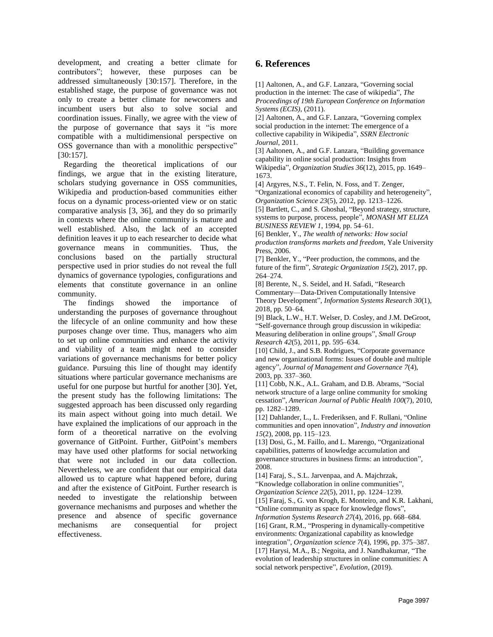development, and creating a better climate for contributors"; however, these purposes can be addressed simultaneously [30:157]. Therefore, in the established stage, the purpose of governance was not only to create a better climate for newcomers and incumbent users but also to solve social and coordination issues. Finally, we agree with the view of the purpose of governance that says it "is more compatible with a multidimensional perspective on OSS governance than with a monolithic perspective" [30:157].

Regarding the theoretical implications of our findings, we argue that in the existing literature, scholars studying governance in OSS communities, Wikipedia and production-based communities either focus on a dynamic process-oriented view or on static comparative analysis [3, 36], and they do so primarily in contexts where the online community is mature and well established. Also, the lack of an accepted definition leaves it up to each researcher to decide what governance means in communities. Thus, the conclusions based on the partially structural perspective used in prior studies do not reveal the full dynamics of governance typologies, configurations and elements that constitute governance in an online community.

The findings showed the importance of understanding the purposes of governance throughout the lifecycle of an online community and how these purposes change over time. Thus, managers who aim to set up online communities and enhance the activity and viability of a team might need to consider variations of governance mechanisms for better policy guidance. Pursuing this line of thought may identify situations where particular governance mechanisms are useful for one purpose but hurtful for another [30]. Yet, the present study has the following limitations: The suggested approach has been discussed only regarding its main aspect without going into much detail. We have explained the implications of our approach in the form of a theoretical narrative on the evolving governance of GitPoint. Further, GitPoint's members may have used other platforms for social networking that were not included in our data collection. Nevertheless, we are confident that our empirical data allowed us to capture what happened before, during and after the existence of GitPoint. Further research is needed to investigate the relationship between governance mechanisms and purposes and whether the presence and absence of specific governance mechanisms are consequential for project effectiveness.

## **6. References**

[1] Aaltonen, A., and G.F. Lanzara, "Governing social production in the internet: The case of wikipedia", *The Proceedings of 19th European Conference on Information Systems (ECIS)*, (2011).

[2] Aaltonen, A., and G.F. Lanzara, "Governing complex social production in the internet: The emergence of a collective capability in Wikipedia", *SSRN Electronic Journal*, 2011.

[3] Aaltonen, A., and G.F. Lanzara, "Building governance capability in online social production: Insights from Wikipedia", *Organization Studies 36*(12), 2015, pp. 1649– 1673.

[4] Argyres, N.S., T. Felin, N. Foss, and T. Zenger, "Organizational economics of capability and heterogeneity", *Organization Science 23*(5), 2012, pp. 1213–1226.

[5] Bartlett, C., and S. Ghoshal, "Beyond strategy, structure, systems to purpose, process, people", *MONASH MT ELIZA BUSINESS REVIEW 1*, 1994, pp. 54–61.

[6] Benkler, Y., *The wealth of networks: How social production transforms markets and freedom*, Yale University Press, 2006.

[7] Benkler, Y., "Peer production, the commons, and the future of the firm", *Strategic Organization 15*(2), 2017, pp. 264–274.

[8] Berente, N., S. Seidel, and H. Safadi, "Research Commentary—Data-Driven Computationally Intensive Theory Development", *Information Systems Research 30*(1), 2018, pp. 50–64.

[9] Black, L.W., H.T. Welser, D. Cosley, and J.M. DeGroot, "Self-governance through group discussion in wikipedia: Measuring deliberation in online groups", *Small Group Research 42*(5), 2011, pp. 595–634.

[10] Child, J., and S.B. Rodrigues, "Corporate governance" and new organizational forms: Issues of double and multiple agency", *Journal of Management and Governance 7*(4), 2003, pp. 337–360.

[11] Cobb, N.K., A.L. Graham, and D.B. Abrams, "Social network structure of a large online community for smoking cessation", *American Journal of Public Health 100*(7), 2010, pp. 1282–1289.

[12] Dahlander, L., L. Frederiksen, and F. Rullani, "Online communities and open innovation", *Industry and innovation 15*(2), 2008, pp. 115–123.

[13] Dosi, G., M. Faillo, and L. Marengo, "Organizational capabilities, patterns of knowledge accumulation and governance structures in business firms: an introduction", 2008.

[14] Faraj, S., S.L. Jarvenpaa, and A. Majchrzak,

"Knowledge collaboration in online communities",

*Organization Science 22*(5), 2011, pp. 1224–1239.

[15] Faraj, S., G. von Krogh, E. Monteiro, and K.R. Lakhani, "Online community as space for knowledge flows",

*Information Systems Research 27*(4), 2016, pp. 668–684. [16] Grant, R.M., "Prospering in dynamically-competitive environments: Organizational capability as knowledge integration", *Organization science 7*(4), 1996, pp. 375–387. [17] Harysi, M.A., B.; Negoita, and J. Nandhakumar, "The evolution of leadership structures in online communities: A social network perspective", *Evolution*, (2019).